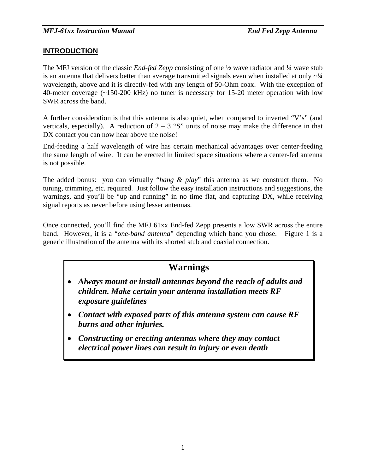# **INTRODUCTION**

The MFJ version of the classic *End-fed Zepp* consisting of one ½ wave radiator and ¼ wave stub is an antenna that delivers better than average transmitted signals even when installed at only  $\sim$ <sup>1/4</sup> wavelength, above and it is directly-fed with any length of 50-Ohm coax. With the exception of 40-meter coverage (~150-200 kHz) no tuner is necessary for 15-20 meter operation with low SWR across the band.

A further consideration is that this antenna is also quiet, when compared to inverted "V's" (and verticals, especially). A reduction of  $2 - 3$  "S" units of noise may make the difference in that DX contact you can now hear above the noise!

End-feeding a half wavelength of wire has certain mechanical advantages over center-feeding the same length of wire. It can be erected in limited space situations where a center-fed antenna is not possible.

The added bonus: you can virtually "*hang & play*" this antenna as we construct them. No tuning, trimming, etc. required. Just follow the easy installation instructions and suggestions, the warnings, and you'll be "up and running" in no time flat, and capturing DX, while receiving signal reports as never before using lesser antennas.

Once connected, you'll find the MFJ 61xx End-fed Zepp presents a low SWR across the entire band. However, it is a "*one-band antenna*" depending which band you chose. Figure 1 is a generic illustration of the antenna with its shorted stub and coaxial connection.

# **Warnings**

- *Always mount or install antennas beyond the reach of adults and children. Make certain your antenna installation meets RF exposure guidelines*
- *Contact with exposed parts of this antenna system can cause RF burns and other injuries.*
- *Constructing or erecting antennas where they may contact electrical power lines can result in injury or even death*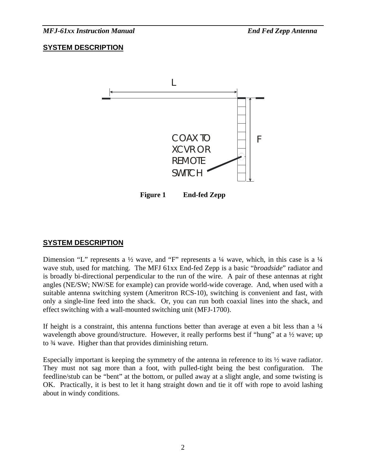*MFJ-61xx Instruction Manual End Fed Zepp Antenna* 

## **SYSTEM DESCRIPTION**



## **SYSTEM DESCRIPTION**

Dimension "L" represents a  $\frac{1}{2}$  wave, and "F" represents a  $\frac{1}{4}$  wave, which, in this case is a  $\frac{1}{4}$ wave stub, used for matching. The MFJ 61xx End-fed Zepp is a basic "*broadside*" radiator and is broadly bi-directional perpendicular to the run of the wire. A pair of these antennas at right angles (NE/SW; NW/SE for example) can provide world-wide coverage. And, when used with a suitable antenna switching system (Ameritron RCS-10), switching is convenient and fast, with only a single-line feed into the shack. Or, you can run both coaxial lines into the shack, and effect switching with a wall-mounted switching unit (MFJ-1700).

If height is a constraint, this antenna functions better than average at even a bit less than a  $\frac{1}{4}$ wavelength above ground/structure. However, it really performs best if "hung" at a  $\frac{1}{2}$  wave; up to ¾ wave. Higher than that provides diminishing return.

Especially important is keeping the symmetry of the antenna in reference to its ½ wave radiator. They must not sag more than a foot, with pulled-tight being the best configuration. The feedline/stub can be "bent" at the bottom, or pulled away at a slight angle, and some twisting is OK. Practically, it is best to let it hang straight down and tie it off with rope to avoid lashing about in windy conditions.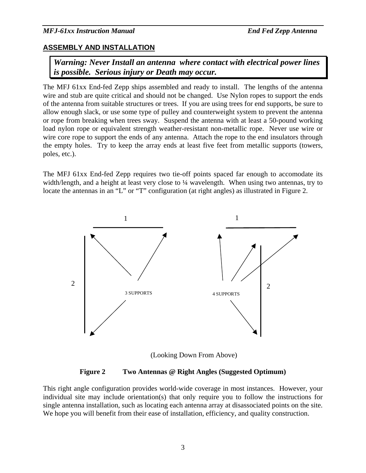#### *MFJ-61xx Instruction Manual End Fed Zepp Antenna*

## **ASSEMBLY AND INSTALLATION**

*Warning: Never Install an antenna where contact with electrical power lines is possible. Serious injury or Death may occur.* 

The MFJ 61xx End-fed Zepp ships assembled and ready to install. The lengths of the antenna wire and stub are quite critical and should not be changed. Use Nylon ropes to support the ends of the antenna from suitable structures or trees. If you are using trees for end supports, be sure to allow enough slack, or use some type of pulley and counterweight system to prevent the antenna or rope from breaking when trees sway. Suspend the antenna with at least a 50-pound working load nylon rope or equivalent strength weather-resistant non-metallic rope. Never use wire or wire core rope to support the ends of any antenna. Attach the rope to the end insulators through the empty holes. Try to keep the array ends at least five feet from metallic supports (towers, poles, etc.).

The MFJ 61xx End-fed Zepp requires two tie-off points spaced far enough to accomodate its width/length, and a height at least very close to 1/4 wavelength. When using two antennas, try to locate the antennas in an "L" or "T" configuration (at right angles) as illustrated in Figure 2.



(Looking Down From Above)

**Figure 2 Two Antennas @ Right Angles (Suggested Optimum)** 

This right angle configuration provides world-wide coverage in most instances. However, your individual site may include orientation(s) that only require you to follow the instructions for single antenna installation, such as locating each antenna array at disassociated points on the site. We hope you will benefit from their ease of installation, efficiency, and quality construction.